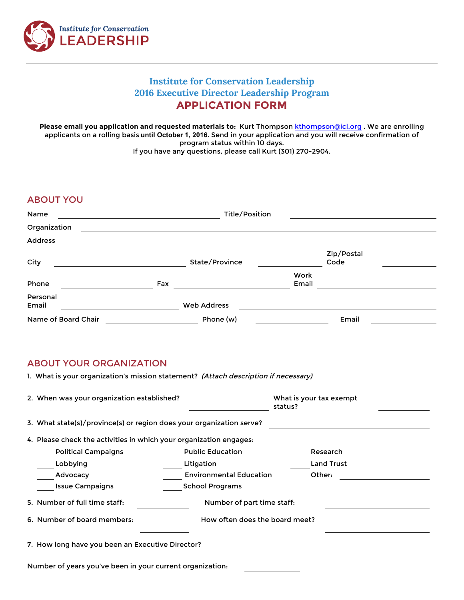

# **Institute for Conservation Leadership 2016 Executive Director Leadership Program APPLICATION FORM**

**Please email you application and requested materials to:** Kurt Thompson kthompson@icl.org . We are enrolling applicants on a rolling basis **until October 1, 2016**. Send in your application and you will receive confirmation of program status within 10 days.

If you have any questions, please call Kurt (301) 270-2904.

## ABOUT YOU

| Name                | Title/Position |                    |               |                    |  |
|---------------------|----------------|--------------------|---------------|--------------------|--|
| Organization        |                |                    |               |                    |  |
| Address             |                |                    |               |                    |  |
| City                |                | State/Province     |               | Zip/Postal<br>Code |  |
| Phone               | Fax            |                    | Work<br>Email |                    |  |
| Personal<br>Email   |                | <b>Web Address</b> |               |                    |  |
| Name of Board Chair |                | Phone (w)          |               | Email              |  |

### ABOUT YOUR ORGANIZATION

1. What is your organization's mission statement? (Attach description if necessary)

|                                                           | 2. When was your organization established?                           |                                | What is your tax exempt<br>status? |                   |  |  |  |  |
|-----------------------------------------------------------|----------------------------------------------------------------------|--------------------------------|------------------------------------|-------------------|--|--|--|--|
|                                                           | 3. What state(s)/province(s) or region does your organization serve? |                                |                                    |                   |  |  |  |  |
|                                                           | 4. Please check the activities in which your organization engages:   |                                |                                    |                   |  |  |  |  |
|                                                           | <b>Political Campaigns</b>                                           | <b>Public Education</b>        |                                    | Research          |  |  |  |  |
|                                                           | Lobbying                                                             | Litigation                     |                                    | <b>Land Trust</b> |  |  |  |  |
|                                                           | Advocacy                                                             | <b>Environmental Education</b> | Other:                             |                   |  |  |  |  |
|                                                           | <b>Issue Campaigns</b>                                               | <b>School Programs</b>         |                                    |                   |  |  |  |  |
|                                                           | 5. Number of full time staff:                                        | Number of part time staff:     |                                    |                   |  |  |  |  |
|                                                           | 6. Number of board members:                                          | How often does the board meet? |                                    |                   |  |  |  |  |
| 7. How long have you been an Executive Director?          |                                                                      |                                |                                    |                   |  |  |  |  |
| Number of years you've been in your current organization. |                                                                      |                                |                                    |                   |  |  |  |  |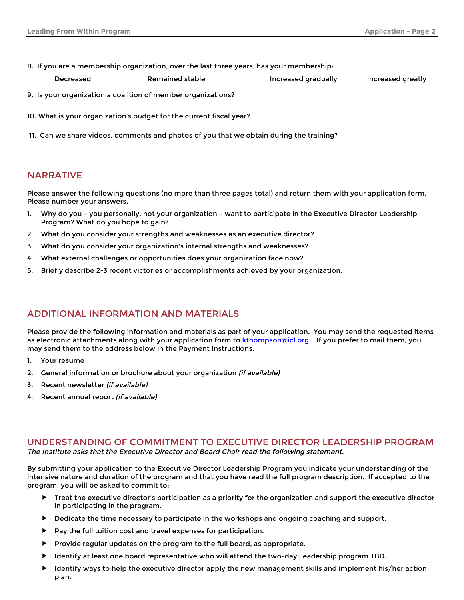| 8. If you are a membership organization, over the last three years, has your membership. |                     |                   |  |  |  |  |  |
|------------------------------------------------------------------------------------------|---------------------|-------------------|--|--|--|--|--|
| Remained stable<br>Decreased                                                             | Increased gradually | Increased greatly |  |  |  |  |  |
| 9. Is your organization a coalition of member organizations?                             |                     |                   |  |  |  |  |  |
| 10. What is your organization's budget for the current fiscal year?                      |                     |                   |  |  |  |  |  |
| 11. Can we share videos, comments and photos of you that we obtain during the training?  |                     |                   |  |  |  |  |  |

#### NARRATIVE

Please answer the following questions (no more than three pages total) and return them with your application form. Please number your answers.

- 1. Why do you you personally, not your organization want to participate in the Executive Director Leadership Program? What do you hope to gain?
- 2. What do you consider your strengths and weaknesses as an executive director?
- 3. What do you consider your organization's internal strengths and weaknesses?
- 4. What external challenges or opportunities does your organization face now?
- 5. Briefly describe 2-3 recent victories or accomplishments achieved by your organization.

### ADDITIONAL INFORMATION AND MATERIALS

Please provide the following information and materials as part of your application. You may send the requested items as electronic attachments along with your application form to kthompson@icl.org. If you prefer to mail them, you may send them to the address below in the Payment Instructions.

- 1. Your resume
- 2. General information or brochure about your organization *(if available)*
- 3. Recent newsletter (if available)
- 4. Recent annual report (if available)

#### UNDERSTANDING OF COMMITMENT TO EXECUTIVE DIRECTOR LEADERSHIP PROGRAM The Institute asks that the Executive Director and Board Chair read the following statement.

By submitting your application to the Executive Director Leadership Program you indicate your understanding of the intensive nature and duration of the program and that you have read the full program description. If accepted to the program, you will be asked to commit to:

- ▶ Treat the executive director's participation as a priority for the organization and support the executive director in participating in the program.
- Dedicate the time necessary to participate in the workshops and ongoing coaching and support.
- Pay the full tuition cost and travel expenses for participation.
- Provide regular updates on the program to the full board, as appropriate.
- Identify at least one board representative who will attend the two-day Leadership program TBD.
- Identify ways to help the executive director apply the new management skills and implement his/her action plan.